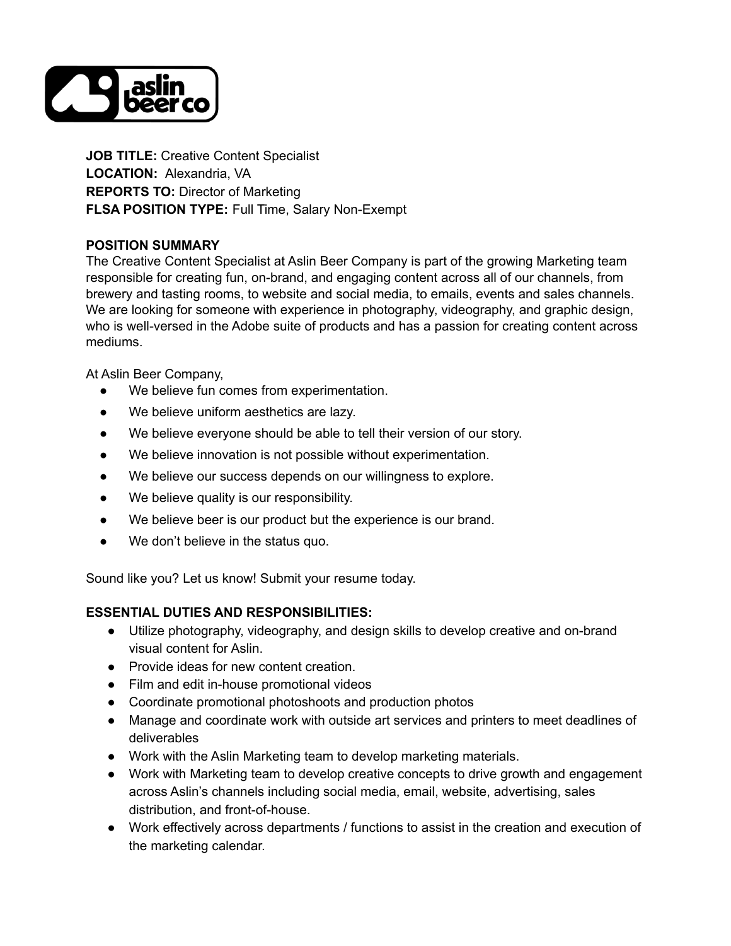

**JOB TITLE:** Creative Content Specialist **LOCATION:** Alexandria, VA **REPORTS TO:** Director of Marketing **FLSA POSITION TYPE:** Full Time, Salary Non-Exempt

#### **POSITION SUMMARY**

The Creative Content Specialist at Aslin Beer Company is part of the growing Marketing team responsible for creating fun, on-brand, and engaging content across all of our channels, from brewery and tasting rooms, to website and social media, to emails, events and sales channels. We are looking for someone with experience in photography, videography, and graphic design, who is well-versed in the Adobe suite of products and has a passion for creating content across mediums.

At Aslin Beer Company,

- We believe fun comes from experimentation.
- We believe uniform aesthetics are lazy.
- We believe everyone should be able to tell their version of our story.
- We believe innovation is not possible without experimentation.
- We believe our success depends on our willingness to explore.
- We believe quality is our responsibility.
- We believe beer is our product but the experience is our brand.
- We don't believe in the status quo.

Sound like you? Let us know! Submit your resume today.

#### **ESSENTIAL DUTIES AND RESPONSIBILITIES:**

- Utilize photography, videography, and design skills to develop creative and on-brand visual content for Aslin.
- Provide ideas for new content creation.
- Film and edit in-house promotional videos
- Coordinate promotional photoshoots and production photos
- Manage and coordinate work with outside art services and printers to meet deadlines of deliverables
- Work with the Aslin Marketing team to develop marketing materials.
- Work with Marketing team to develop creative concepts to drive growth and engagement across Aslin's channels including social media, email, website, advertising, sales distribution, and front-of-house.
- Work effectively across departments / functions to assist in the creation and execution of the marketing calendar.